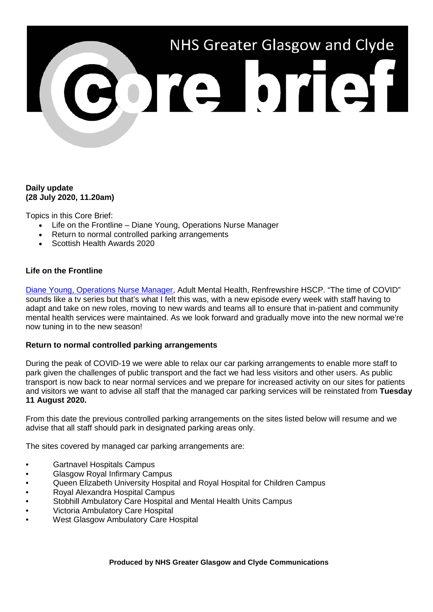

## **Daily update (28 July 2020, 11.20am)**

Topics in this Core Brief:

- Life on the Frontline Diane Young, Operations Nurse Manager
- Return to normal controlled parking arrangements
- Scottish Health Awards 2020

## **Life on the Frontline**

[Diane Young, Operations Nurse Manager,](https://www.youtube.com/watch?v=pja-DPi2378) Adult Mental Health, Renfrewshire HSCP. "The time of COVID" sounds like a tv series but that's what I felt this was, with a new episode every week with staff having to adapt and take on new roles, moving to new wards and teams all to ensure that in-patient and community mental health services were maintained. As we look forward and gradually move into the new normal we're now tuning in to the new season!

#### **Return to normal controlled parking arrangements**

During the peak of COVID-19 we were able to relax our car parking arrangements to enable more staff to park given the challenges of public transport and the fact we had less visitors and other users. As public transport is now back to near normal services and we prepare for increased activity on our sites for patients and visitors we want to advise all staff that the managed car parking services will be reinstated from **Tuesday 11 August 2020.** 

From this date the previous controlled parking arrangements on the sites listed below will resume and we advise that all staff should park in designated parking areas only.

The sites covered by managed car parking arrangements are:

- Gartnavel Hospitals Campus
- Glasgow Royal Infirmary Campus
- Queen Elizabeth University Hospital and Royal Hospital for Children Campus
- Royal Alexandra Hospital Campus
- Stobhill Ambulatory Care Hospital and Mental Health Units Campus
- Victoria Ambulatory Care Hospital
- West Glasgow Ambulatory Care Hospital

**Produced by NHS Greater Glasgow and Clyde Communications**